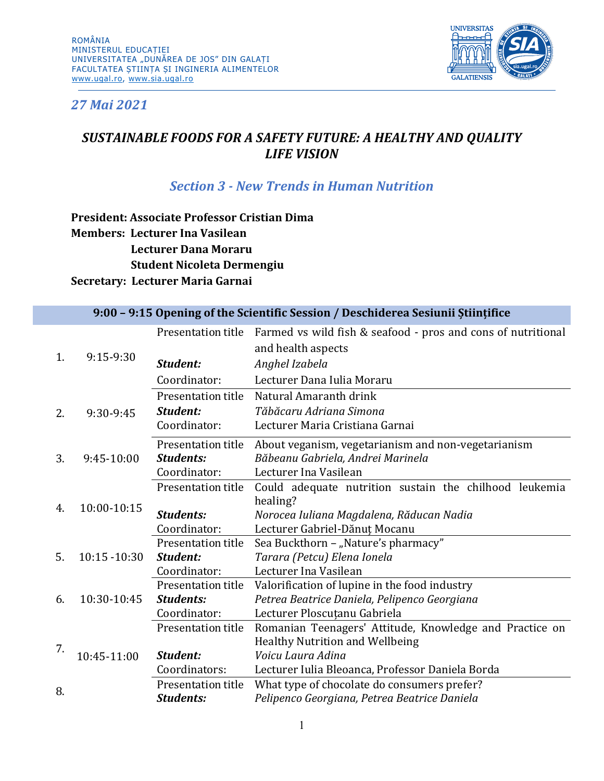

## *27 Mai 2021*

## *SUSTAINABLE FOODS FOR A SAFETY FUTURE: A HEALTHY AND QUALITY LIFE VISION*

### *Section 3 - New Trends in Human Nutrition*

**President: Associate Professor Cristian Dima Members: Lecturer Ina Vasilean Lecturer Dana Moraru Student Nicoleta Dermengiu Secretary: Lecturer Maria Garnai**

#### **9:00 – 9:15 Opening of the Scientific Session / Deschiderea Sesiunii Științifice**

| 1. | 9:15-9:30    | Presentation title | Farmed vs wild fish & seafood - pros and cons of nutritional<br>and health aspects |
|----|--------------|--------------------|------------------------------------------------------------------------------------|
|    |              | Student:           | Anghel Izabela                                                                     |
|    |              | Coordinator:       | Lecturer Dana Iulia Moraru                                                         |
|    |              | Presentation title | Natural Amaranth drink                                                             |
| 2. | 9:30-9:45    | Student:           | Tăbăcaru Adriana Simona                                                            |
|    |              | Coordinator:       | Lecturer Maria Cristiana Garnai                                                    |
|    |              | Presentation title | About veganism, vegetarianism and non-vegetarianism                                |
| 3. | $9:45-10:00$ | <b>Students:</b>   | Băbeanu Gabriela, Andrei Marinela                                                  |
|    |              | Coordinator:       | Lecturer Ina Vasilean                                                              |
| 4. | 10:00-10:15  | Presentation title | Could adequate nutrition sustain the chilhood leukemia                             |
|    |              |                    | healing?                                                                           |
|    |              | <b>Students:</b>   | Norocea Iuliana Magdalena, Răducan Nadia                                           |
|    |              | Coordinator:       | Lecturer Gabriel-Dănuț Mocanu                                                      |
|    |              | Presentation title | Sea Buckthorn - "Nature's pharmacy"                                                |
| 5. | 10:15 -10:30 | Student:           | Tarara (Petcu) Elena Ionela                                                        |
|    |              | Coordinator:       | Lecturer Ina Vasilean                                                              |
|    |              | Presentation title | Valorification of lupine in the food industry                                      |
| 6. | 10:30-10:45  | <b>Students:</b>   | Petrea Beatrice Daniela, Pelipenco Georgiana                                       |
|    |              | Coordinator:       | Lecturer Ploscuțanu Gabriela                                                       |
|    |              | Presentation title | Romanian Teenagers' Attitude, Knowledge and Practice on                            |
| 7. | 10:45-11:00  |                    | <b>Healthy Nutrition and Wellbeing</b>                                             |
|    |              | Student:           | Voicu Laura Adina                                                                  |
|    |              | Coordinators:      | Lecturer Iulia Bleoanca, Professor Daniela Borda                                   |
| 8. |              | Presentation title | What type of chocolate do consumers prefer?                                        |
|    |              | <b>Students:</b>   | Pelipenco Georgiana, Petrea Beatrice Daniela                                       |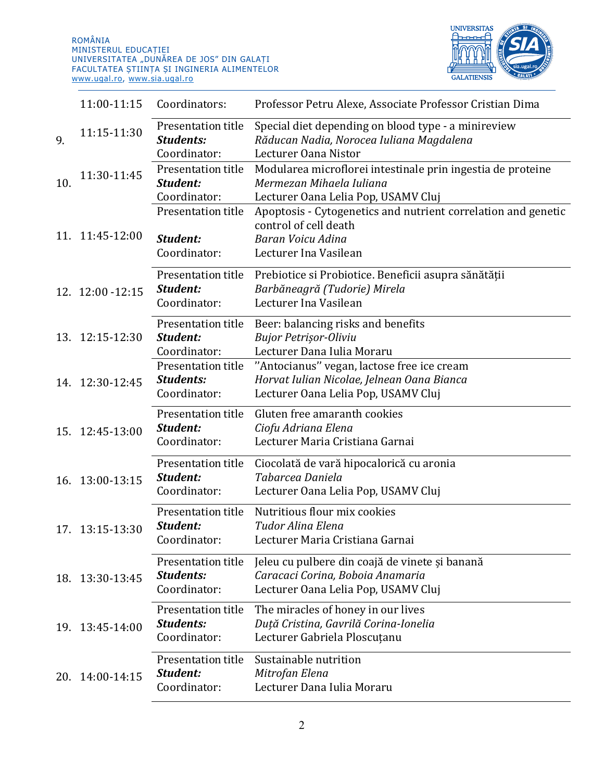

|     | 11:00-11:15       | Coordinators:                                          | Professor Petru Alexe, Associate Professor Cristian Dima                                                                             |
|-----|-------------------|--------------------------------------------------------|--------------------------------------------------------------------------------------------------------------------------------------|
| 9.  | 11:15-11:30       | Presentation title<br><b>Students:</b><br>Coordinator: | Special diet depending on blood type - a minireview<br>Răducan Nadia, Norocea Iuliana Magdalena<br>Lecturer Oana Nistor              |
| 10. | 11:30-11:45       | Presentation title<br>Student:<br>Coordinator:         | Modularea microflorei intestinale prin ingestia de proteine<br>Mermezan Mihaela Iuliana<br>Lecturer Oana Lelia Pop, USAMV Cluj       |
|     | 11. 11:45-12:00   | Presentation title<br>Student:<br>Coordinator:         | Apoptosis - Cytogenetics and nutrient correlation and genetic<br>control of cell death<br>Baran Voicu Adina<br>Lecturer Ina Vasilean |
|     | 12. 12:00 - 12:15 | Presentation title<br>Student:<br>Coordinator:         | Prebiotice si Probiotice. Beneficii asupra sănătății<br>Barbăneagră (Tudorie) Mirela<br>Lecturer Ina Vasilean                        |
|     | 13. 12:15-12:30   | Presentation title<br>Student:<br>Coordinator:         | Beer: balancing risks and benefits<br><b>Bujor Petrisor-Oliviu</b><br>Lecturer Dana Iulia Moraru                                     |
|     | 14. 12:30-12:45   | Presentation title<br><b>Students:</b><br>Coordinator: | "Antocianus" vegan, lactose free ice cream<br>Horvat Iulian Nicolae, Jelnean Oana Bianca<br>Lecturer Oana Lelia Pop, USAMV Cluj      |
|     | 15. 12:45-13:00   | Presentation title<br>Student:<br>Coordinator:         | Gluten free amaranth cookies<br>Ciofu Adriana Elena<br>Lecturer Maria Cristiana Garnai                                               |
|     | 16. 13:00-13:15   | Presentation title<br>Student:<br>Coordinator:         | Ciocolată de vară hipocalorică cu aronia<br>Tabarcea Daniela<br>Lecturer Oana Lelia Pop, USAMV Cluj                                  |
|     | 17. 13:15-13:30   | Presentation title<br>Student:<br>Coordinator:         | Nutritious flour mix cookies<br>Tudor Alina Elena<br>Lecturer Maria Cristiana Garnai                                                 |
|     | 18. 13:30-13:45   | Presentation title<br><b>Students:</b><br>Coordinator: | Jeleu cu pulbere din coajă de vinete și banană<br>Caracaci Corina, Boboia Anamaria<br>Lecturer Oana Lelia Pop, USAMV Cluj            |
| 19. | 13:45-14:00       | Presentation title<br><b>Students:</b><br>Coordinator: | The miracles of honey in our lives<br>Duță Cristina, Gavrilă Corina-Ionelia<br>Lecturer Gabriela Ploscuțanu                          |
| 20. | 14:00-14:15       | Presentation title<br>Student:<br>Coordinator:         | Sustainable nutrition<br>Mitrofan Elena<br>Lecturer Dana Iulia Moraru                                                                |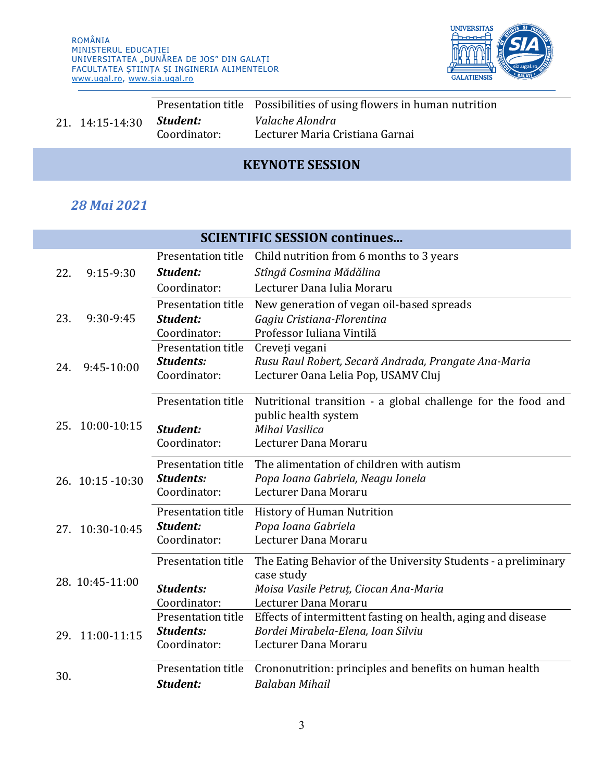

| 21. 14:15-14:30 |              | Presentation title Possibilities of using flowers in human nutrition |
|-----------------|--------------|----------------------------------------------------------------------|
|                 | Student:     | Valache Alondra                                                      |
|                 | Coordinator: | Lecturer Maria Cristiana Garnai                                      |
|                 |              |                                                                      |

# **KEYNOTE SESSION**

## *28 Mai 2021*

| <b>SCIENTIFIC SESSION continues</b> |                    |                                                                |  |
|-------------------------------------|--------------------|----------------------------------------------------------------|--|
|                                     | Presentation title | Child nutrition from 6 months to 3 years                       |  |
| $9:15-9:30$<br>22.                  | Student:           | Stîngă Cosmina Mădălina                                        |  |
|                                     | Coordinator:       | Lecturer Dana Iulia Moraru                                     |  |
|                                     | Presentation title | New generation of vegan oil-based spreads                      |  |
| 9:30-9:45<br>23.                    | Student:           | Gagiu Cristiana-Florentina                                     |  |
|                                     | Coordinator:       | Professor Iuliana Vintilă                                      |  |
|                                     | Presentation title | Creveți vegani                                                 |  |
| 9:45-10:00<br>24.                   | <b>Students:</b>   | Rusu Raul Robert, Secară Andrada, Prangate Ana-Maria           |  |
|                                     | Coordinator:       | Lecturer Oana Lelia Pop, USAMV Cluj                            |  |
|                                     | Presentation title | Nutritional transition - a global challenge for the food and   |  |
|                                     |                    | public health system                                           |  |
| 25. 10:00-10:15                     | Student:           | Mihai Vasilica                                                 |  |
|                                     | Coordinator:       | Lecturer Dana Moraru                                           |  |
|                                     | Presentation title | The alimentation of children with autism                       |  |
| 26. 10:15 - 10:30                   | <b>Students:</b>   | Popa Ioana Gabriela, Neagu Ionela                              |  |
|                                     | Coordinator:       | Lecturer Dana Moraru                                           |  |
|                                     | Presentation title | <b>History of Human Nutrition</b>                              |  |
| 27. 10:30-10:45                     | Student:           | Popa Ioana Gabriela                                            |  |
|                                     | Coordinator:       | Lecturer Dana Moraru                                           |  |
|                                     | Presentation title | The Eating Behavior of the University Students - a preliminary |  |
| 28. 10:45-11:00                     |                    | case study                                                     |  |
|                                     | <b>Students:</b>   | Moisa Vasile Petruț, Ciocan Ana-Maria                          |  |
|                                     | Coordinator:       | Lecturer Dana Moraru                                           |  |
|                                     | Presentation title | Effects of intermittent fasting on health, aging and disease   |  |
| 29. 11:00-11:15                     | <b>Students:</b>   | Bordei Mirabela-Elena, Ioan Silviu                             |  |
|                                     | Coordinator:       | Lecturer Dana Moraru                                           |  |
| 30.                                 | Presentation title | Crononutrition: principles and benefits on human health        |  |
|                                     | Student:           | <b>Balaban Mihail</b>                                          |  |